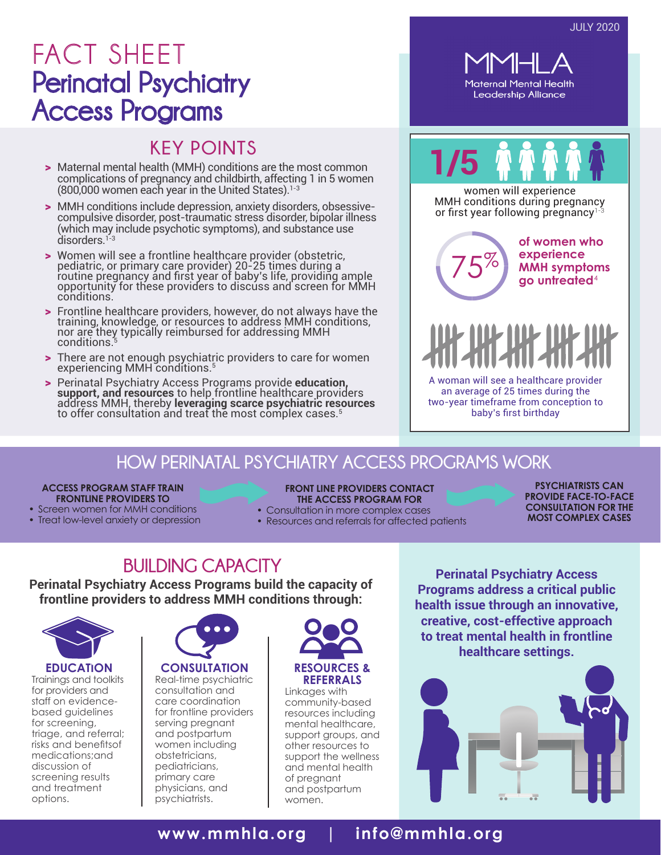## FACT SHEET Perinatal Psychiatry Access Programs

#### **KEY POINTS**

- > Maternal mental health (MMH) conditions are the most common complications of pregnancy and childbirth, affecting 1 in 5 women  $(800,000$  women each year in the United States).<sup>1-3</sup>
- > MMH conditions include depression, anxiety disorders, obsessivecompulsive disorder, post-traumatic stress disorder, bipolar illness (which may include psychotic symptoms), and substance use disorders.<sup>1</sup>
- > Women will see a frontline healthcare provider (obstetric, pediatric, or primary care provider) 20-25 times during a routine pregnancy and first year of baby's life, providing ample opportunity for these providers to discuss and screen for MMH conditions.
- > Frontline healthcare providers, however, do not always have the training, knowledge, or resources to address MMH conditions, nor are they typically reimbursed for addressing MMH conditions.
- > There are not enough psychiatric providers to care for women experiencing MMH conditions.5
- > Perinatal Psychiatry Access Programs provide **education,**<br>support, and resources to help frontline healthcare providers<br>address MMH, thereby leveraging scarce psychiatric resources<br>to offer consultation and treat the mos



# **1/5**

women will experience MMH conditions during pregnancy or first year following pregnancy1-3

 $%$ 

**of women who experience**   $75\%$  MMH symptoms go untreated<sup>4</sup>



A woman will see a healthcare provider an average of 25 times during the two-year timeframe from conception to baby's first birthday

#### **HOW PERINATAL PSYCHIATRY ACCESS PROGRAMS WORK**

#### **ACCESS PROGRAM STAFF TRAIN FRONTLINE PROVIDERS TO**

- Screen women for MMH conditions
- Treat low-level anxiety or depression

#### **FRONT LINE PROVIDERS CONTACT THE ACCESS PROGRAM FOR**

- Consultation in more complex cases
- Resources and referrals for affected patients

**PSYCHIATRISTS CAN PROVIDE FACE-TO-FACE CONSULTATION FOR THE MOST COMPLEX CASES**

### **BUILDING CAPACITY**

**Perinatal Psychiatry Access Programs build the capacity of frontline providers to address MMH conditions through:**



**EDUCATION** Trainings and toolkits for providers and staff on evidencebased guidelines for screening, triage, and referral; risks and benefitsof medications;and discussion of screening results and treatment options.



**CONSULTATION** Real-time psychiatric consultation and care coordination for frontline providers serving pregnant and postpartum women including obstetricians, pediatricians, primary care physicians, and psychiatrists.



Linkages with community-based resources including mental healthcare, support groups, and other resources to support the wellness and mental health of pregnant and postpartum women.

**Perinatal Psychiatry Access Programs address a critical public health issue through an innovative, creative, cost-effective approach to treat mental health in frontline healthcare settings.**



#### **[www.mmhla.org](http://www.mmhla.org) | info@mmhla.org**